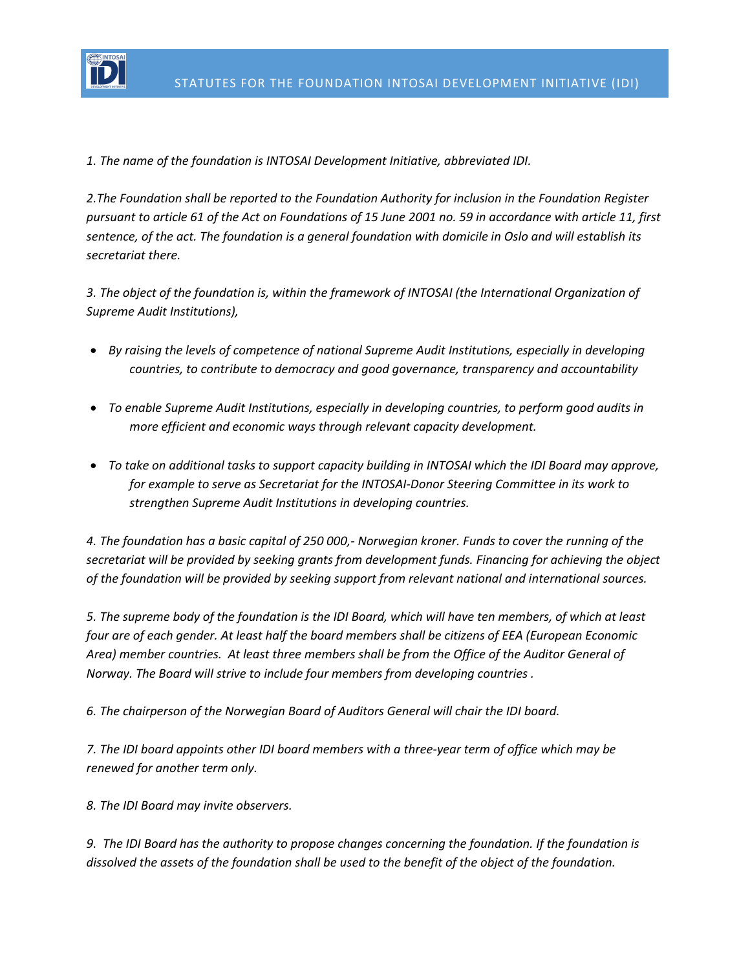

*1. The name of the foundation is INTOSAI Development Initiative, abbreviated IDI.*

*2.The Foundation shall be reported to the Foundation Authority for inclusion in the Foundation Register pursuant to article 61 of the Act on Foundations of 15 June 2001 no. 59 in accordance with article 11, first sentence, of the act. The foundation is a general foundation with domicile in Oslo and will establish its secretariat there.*

*3. The object of the foundation is, within the framework of INTOSAI (the International Organization of Supreme Audit Institutions),* 

- *By raising the levels of competence of national Supreme Audit Institutions, especially in developing countries, to contribute to democracy and good governance, transparency and accountability*
- *To enable Supreme Audit Institutions, especially in developing countries, to perform good audits in more efficient and economic ways through relevant capacity development.*
- *To take on additional tasks to support capacity building in INTOSAI which the IDI Board may approve, for example to serve as Secretariat for the INTOSAI-Donor Steering Committee in its work to strengthen Supreme Audit Institutions in developing countries.*

*4. The foundation has a basic capital of 250 000,- Norwegian kroner. Funds to cover the running of the secretariat will be provided by seeking grants from development funds. Financing for achieving the object of the foundation will be provided by seeking support from relevant national and international sources.*

*5. The supreme body of the foundation is the IDI Board, which will have ten members, of which at least four are of each gender. At least half the board members shall be citizens of EEA (European Economic Area) member countries. At least three members shall be from the Office of the Auditor General of Norway. The Board will strive to include four members from developing countries .*

*6. The chairperson of the Norwegian Board of Auditors General will chair the IDI board.* 

*7. The IDI board appoints other IDI board members with a three-year term of office which may be renewed for another term only.* 

*8. The IDI Board may invite observers.*

*9. The IDI Board has the authority to propose changes concerning the foundation. If the foundation is dissolved the assets of the foundation shall be used to the benefit of the object of the foundation.*